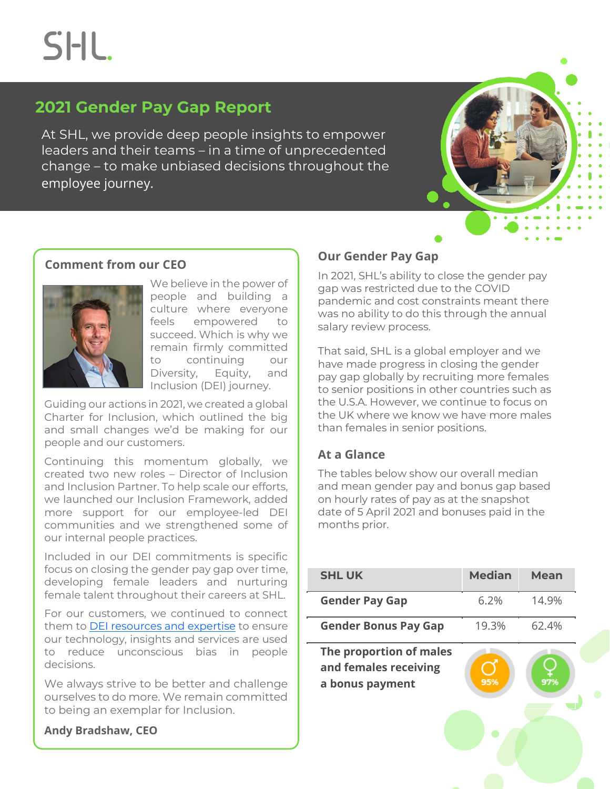**SHL** 

# **2021 Gender Pay Gap Report**

At SHL, we provide deep people insights to empower leaders and their teams – in a time of unprecedented change – to make unbiased decisions throughout the employee journey.



## **Comment from our CEO**



We believe in the power of people and building a culture where everyone feels empowered to succeed. Which is why we remain firmly committed to continuing our Diversity, Equity, and Inclusion (DEI) journey.

Guiding our actions in 2021, we created a global Charter for Inclusion, which outlined the big and small changes we'd be making for our people and our customers.

Continuing this momentum globally, we created two new roles – Director of Inclusion and Inclusion Partner. To help scale our efforts, we launched our Inclusion Framework, added more support for our employee-led DEI communities and we strengthened some of our internal people practices.

Included in our DEI commitments is specific focus on closing the gender pay gap over time, developing female leaders and nurturing female talent throughout their careers at SHL.

For our customers, we continued to connect them t[o DEI resources and expertise](https://www.shl.com/resources/by-topic/diversity-equity-and-inclusion/) to ensure our technology, insights and services are used to reduce unconscious bias in people decisions.

We always strive to be better and challenge ourselves to do more. We remain committed to being an exemplar for Inclusion.

### **Andy Bradshaw, CEO**

# **Our Gender Pay Gap**

In 2021, SHL's ability to close the gender pay gap was restricted due to the COVID pandemic and cost constraints meant there was no ability to do this through the annual salary review process.

That said, SHL is a global employer and we have made progress in closing the gender pay gap globally by recruiting more females to senior positions in other countries such as the U.S.A. However, we continue to focus on the UK where we know we have more males than females in senior positions.

# **At a Glance**

The tables below show our overall median and mean gender pay and bonus gap based on hourly rates of pay as at the snapshot date of 5 April 2021 and bonuses paid in the months prior.

| <b>SHL UK</b>                                                       | <b>Median</b> | <b>Mean</b> |
|---------------------------------------------------------------------|---------------|-------------|
| <b>Gender Pay Gap</b>                                               | 6.2%          | 14.9%       |
| <b>Gender Bonus Pay Gap</b>                                         | 19.3%         | 62.4%       |
| The proportion of males<br>and females receiving<br>a bonus payment | 95%           | 97%         |
|                                                                     |               |             |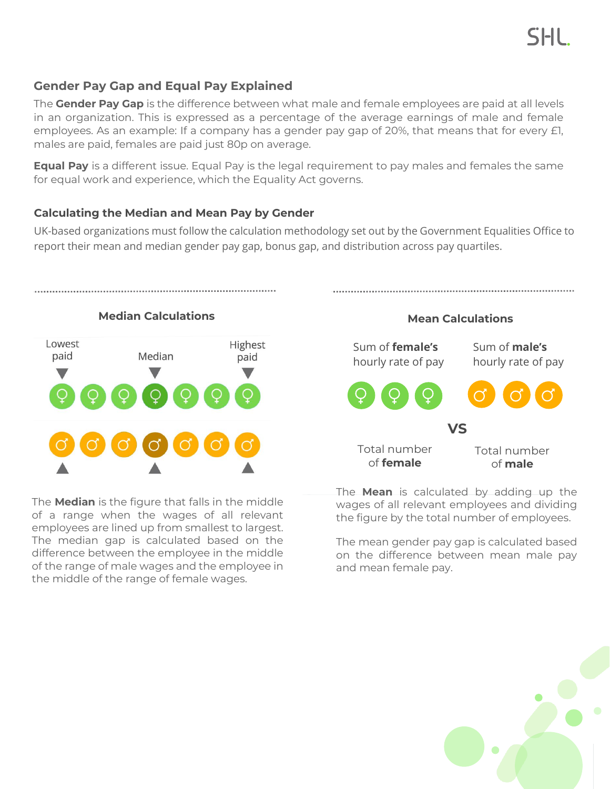The **Gender Pay Gap** is the difference between what male and female employees are paid at all levels in an organization. This is expressed as a percentage of the average earnings of male and female employees. As an example: If a company has a gender pay gap of 20%, that means that for every £1, males are paid, females are paid just 80p on average.

**Equal Pay** is a different issue. Equal Pay is the legal requirement to pay males and females the same for equal work and experience, which the Equality Act governs.

### **Calculating the Median and Mean Pay by Gender**

UK-based organizations must follow the calculation methodology set out by the Government Equalities Office to report their mean and median gender pay gap, bonus gap, and distribution across pay quartiles.



The **Median** is the figure that falls in the middle of a range when the wages of all relevant employees are lined up from smallest to largest. The median gap is calculated based on the difference between the employee in the middle of the range of male wages and the employee in the middle of the range of female wages.



SHL.

The **Mean** is calculated by adding up the wages of all relevant employees and dividing the figure by the total number of employees.

The mean gender pay gap is calculated based on the difference between mean male pay and mean female pay.